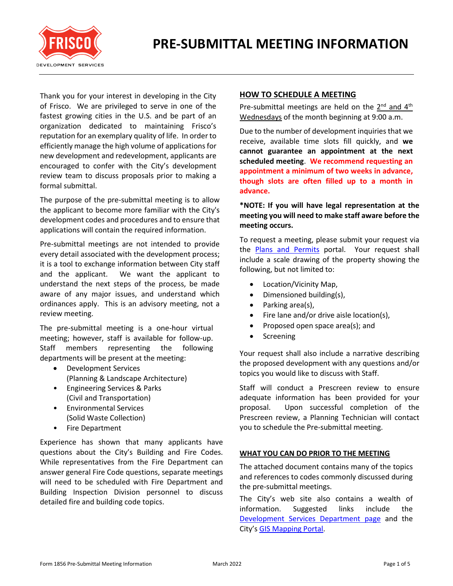

Thank you for your interest in developing in the City of Frisco. We are privileged to serve in one of the fastest growing cities in the U.S. and be part of an organization dedicated to maintaining Frisco's reputation for an exemplary quality of life. In order to efficiently manage the high volume of applications for new development and redevelopment, applicants are encouraged to confer with the City's development review team to discuss proposals prior to making a formal submittal.

The purpose of the pre-submittal meeting is to allow the applicant to become more familiar with the City's development codes and procedures and to ensure that applications will contain the required information.

Pre-submittal meetings are not intended to provide every detail associated with the development process; it is a tool to exchange information between City staff and the applicant. We want the applicant to understand the next steps of the process, be made aware of any major issues, and understand which ordinances apply. This is an advisory meeting, not a review meeting.

The pre-submittal meeting is a one-hour virtual meeting; however, staff is available for follow-up. Staff members representing the following departments will be present at the meeting:

- Development Services (Planning & Landscape Architecture)
- Engineering Services & Parks (Civil and Transportation)
- Environmental Services (Solid Waste Collection)
- Fire Department

Experience has shown that many applicants have questions about the City's Building and Fire Codes. While representatives from the Fire Department can answer general Fire Code questions, separate meetings will need to be scheduled with Fire Department and Building Inspection Division personnel to discuss detailed fire and building code topics.

# **HOW TO SCHEDULE A MEETING**

Pre-submittal meetings are held on the 2<sup>nd</sup> and 4<sup>th</sup> Wednesdays of the month beginning at 9:00 a.m.

Due to the number of development inquiries that we receive, available time slots fill quickly, and **we cannot guarantee an appointment at the next scheduled meeting**. **We recommend requesting an appointment a minimum of two weeks in advance, though slots are often filled up to a month in advance.**

## **\*NOTE: If you will have legal representation at the meeting you will need to make staff aware before the meeting occurs.**

To request a meeting, please submit your request via the [Plans and Permits](https://friscoplansandpermits.avolvecloud.com/Portal/Login/Index/FRISCO?_t=637594302148374141) portal. Your request shall include a scale drawing of the property showing the following, but not limited to:

- Location/Vicinity Map,
- Dimensioned building(s),
- Parking area(s),
- Fire lane and/or drive aisle location(s),
- Proposed open space area(s); and
- Screening

Your request shall also include a narrative describing the proposed development with any questions and/or topics you would like to discuss with Staff.

Staff will conduct a Prescreen review to ensure adequate information has been provided for your proposal. Upon successful completion of the Prescreen review, a Planning Technician will contact you to schedule the Pre-submittal meeting.

## **WHAT YOU CAN DO PRIOR TO THE MEETING**

The attached document contains many of the topics and references to codes commonly discussed during the pre-submittal meetings.

The City's web site also contains a wealth of information. Suggested links include the [Development Services Department page](http://www.friscotexas.gov/389/Development-Services) and the City's [GIS Mapping Portal.](https://geo.friscotexas.gov/friscoportal/home/)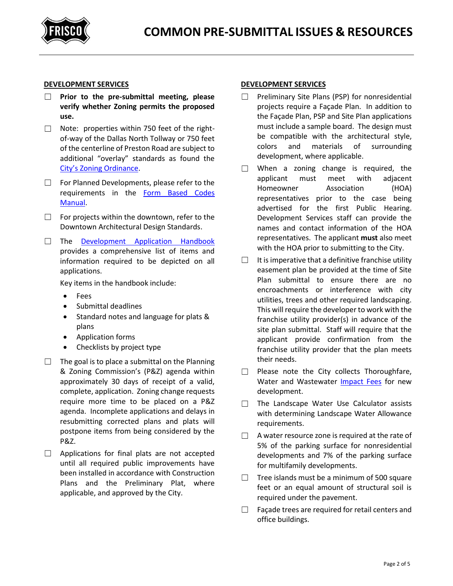

#### **DEVELOPMENT SERVICES**

- ☐ **Prior to the pre-submittal meeting, please verify whether Zoning permits the proposed use.**
- ☐ Note: properties within 750 feet of the rightof-way of the Dallas North Tollway or 750 feet of the centerline of Preston Road are subject to additional "overlay" standards as found the [City's Zoning Ordinance](http://www.friscotexas.gov/DocumentCenter/View/1487#page=54).
- □ For Planned Developments, please refer to the requirements in the [Form Based Codes](http://www.friscotexas.gov/DocumentCenter/View/4928)  [Manual.](http://www.friscotexas.gov/DocumentCenter/View/4928)
- $\Box$  For projects within the downtown, refer to the Downtown Architectural Design Standards.
- ☐ The [Development Application Handbook](http://www.friscotexas.gov/588) provides a comprehensive list of items and information required to be depicted on all applications.

Key items in the handbook include:

- Fees
- Submittal deadlines
- Standard notes and language for plats & plans
- Application forms
- Checklists by project type
- $\Box$  The goal is to place a submittal on the Planning & Zoning Commission's (P&Z) agenda within approximately 30 days of receipt of a valid, complete, application. Zoning change requests require more time to be placed on a P&Z agenda. Incomplete applications and delays in resubmitting corrected plans and plats will postpone items from being considered by the P&Z.
- □ Applications for final plats are not accepted until all required public improvements have been installed in accordance with Construction Plans and the Preliminary Plat, where applicable, and approved by the City.

#### **DEVELOPMENT SERVICES**

- ☐ Preliminary Site Plans (PSP) for nonresidential projects require a Façade Plan. In addition to the Façade Plan, PSP and Site Plan applications must include a sample board. The design must be compatible with the architectural style, colors and materials of surrounding development, where applicable.
- ☐ When a zoning change is required, the applicant must meet with adjacent Homeowner Association (HOA) representatives prior to the case being advertised for the first Public Hearing. Development Services staff can provide the names and contact information of the HOA representatives. The applicant **must** also meet with the HOA prior to submitting to the City.
- $\Box$  It is imperative that a definitive franchise utility easement plan be provided at the time of Site Plan submittal to ensure there are no encroachments or interference with city utilities, trees and other required landscaping. This will require the developer to work with the franchise utility provider(s) in advance of the site plan submittal. Staff will require that the applicant provide confirmation from the franchise utility provider that the plan meets their needs.
- ☐ Please note the City collects Thoroughfare, Water and Wastewater [Impact Fees](http://www.friscotexas.gov/430) for new development.
- ☐ The Landscape Water Use Calculator assists with determining Landscape Water Allowance requirements.
- $\Box$  A water resource zone is required at the rate of 5% of the parking surface for nonresidential developments and 7% of the parking surface for multifamily developments.
- $\Box$  Tree islands must be a minimum of 500 square feet or an equal amount of structural soil is required under the pavement.
- $\Box$  Façade trees are required for retail centers and office buildings.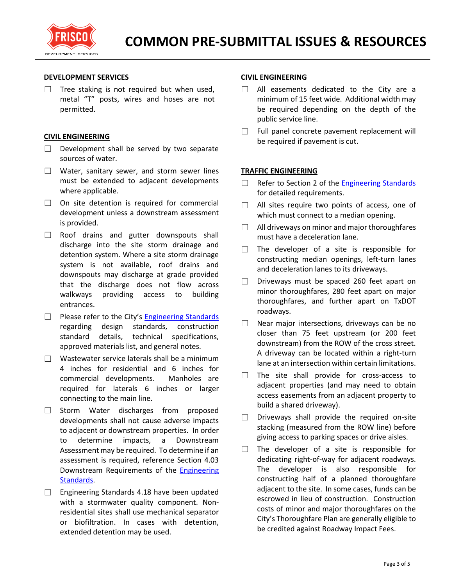

### **DEVELOPMENT SERVICES**

□ Tree staking is not required but when used, metal "T" posts, wires and hoses are not permitted.

### **CIVIL ENGINEERING**

- $\Box$  Development shall be served by two separate sources of water.
- ☐ Water, sanitary sewer, and storm sewer lines must be extended to adjacent developments where applicable.
- □ On site detention is required for commercial development unless a downstream assessment is provided.
- □ Roof drains and gutter downspouts shall discharge into the site storm drainage and detention system. Where a site storm drainage system is not available, roof drains and downspouts may discharge at grade provided that the discharge does not flow across walkways providing access to building entrances.
- □ Please refer to the City's [Engineering Standards](http://www.friscotexas.gov/412) regarding design standards, construction standard details, technical specifications, approved materials list, and general notes.
- $\Box$  Wastewater service laterals shall be a minimum 4 inches for residential and 6 inches for commercial developments. Manholes are required for laterals 6 inches or larger connecting to the main line.
- ☐ Storm Water discharges from proposed developments shall not cause adverse impacts to adjacent or downstream properties. In order to determine impacts, a Downstream Assessment may be required. To determine if an assessment is required, reference Section 4.03 Downstream Requirements of the [Engineering](https://www.friscotexas.gov/412)  [Standards.](https://www.friscotexas.gov/412)
- ☐ Engineering Standards 4.18 have been updated with a stormwater quality component. Nonresidential sites shall use mechanical separator or biofiltration. In cases with detention, extended detention may be used.

### **CIVIL ENGINEERING**

- □ All easements dedicated to the City are a minimum of 15 feet wide. Additional width may be required depending on the depth of the public service line.
- $\Box$  Full panel concrete pavement replacement will be required if pavement is cut.

### **TRAFFIC ENGINEERING**

- □ Refer to Section 2 of the **Engineering Standards** for detailed requirements.
- □ All sites require two points of access, one of which must connect to a median opening.
- ☐ All driveways on minor and major thoroughfares must have a deceleration lane.
- $\Box$  The developer of a site is responsible for constructing median openings, left-turn lanes and deceleration lanes to its driveways.
- $\Box$  Driveways must be spaced 260 feet apart on minor thoroughfares, 280 feet apart on major thoroughfares, and further apart on TxDOT roadways.
- □ Near major intersections, driveways can be no closer than 75 feet upstream (or 200 feet downstream) from the ROW of the cross street. A driveway can be located within a right-turn lane at an intersection within certain limitations.
- ☐ The site shall provide for cross-access to adjacent properties (and may need to obtain access easements from an adjacent property to build a shared driveway).
- $\square$  Driveways shall provide the required on-site stacking (measured from the ROW line) before giving access to parking spaces or drive aisles.
- $\Box$  The developer of a site is responsible for dedicating right-of-way for adjacent roadways. The developer is also responsible for constructing half of a planned thoroughfare adjacent to the site. In some cases, funds can be escrowed in lieu of construction. Construction costs of minor and major thoroughfares on the City's Thoroughfare Plan are generally eligible to be credited against Roadway Impact Fees.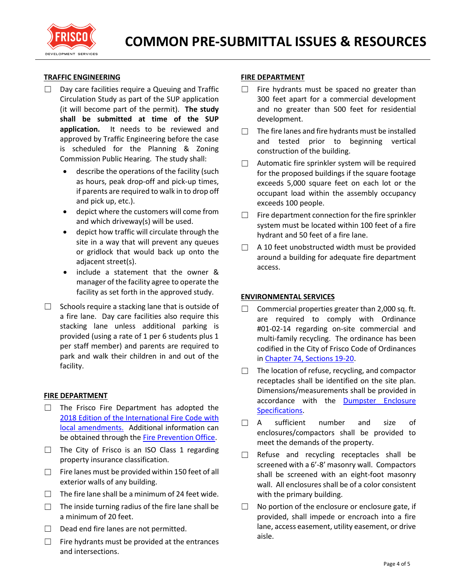

### **TRAFFIC ENGINEERING**

- $\Box$  Day care facilities require a Queuing and Traffic Circulation Study as part of the SUP application (it will become part of the permit). **The study shall be submitted at time of the SUP application.** It needs to be reviewed and approved by Traffic Engineering before the case is scheduled for the Planning & Zoning Commission Public Hearing. The study shall:
	- describe the operations of the facility (such as hours, peak drop-off and pick-up times, if parents are required to walk in to drop off and pick up, etc.).
	- depict where the customers will come from and which driveway(s) will be used.
	- depict how traffic will circulate through the site in a way that will prevent any queues or gridlock that would back up onto the adjacent street(s).
	- include a statement that the owner & manager of the facility agree to operate the facility as set forth in the approved study.
- Schools require a stacking lane that is outside of a fire lane. Day care facilities also require this stacking lane unless additional parking is provided (using a rate of 1 per 6 students plus 1 per staff member) and parents are required to park and walk their children in and out of the facility.

#### **FIRE DEPARTMENT**

- $\Box$  The Frisco Fire Department has adopted the [2018 Edition of the International Fire Code with](https://www.friscotexas.gov/DocumentCenter/View/14226)  [local amendments.](https://www.friscotexas.gov/DocumentCenter/View/14226) Additional information can be obtained through the [Fire Prevention Office.](https://www.friscotexas.gov/337)
- $\Box$  The City of Frisco is an ISO Class 1 regarding property insurance classification.
- $\Box$  Fire lanes must be provided within 150 feet of all exterior walls of any building.
- $\Box$  The fire lane shall be a minimum of 24 feet wide.
- $\Box$  The inside turning radius of the fire lane shall be a minimum of 20 feet.
- $\Box$  Dead end fire lanes are not permitted.
- $\Box$  Fire hydrants must be provided at the entrances and intersections.

### **FIRE DEPARTMENT**

- $\Box$  Fire hydrants must be spaced no greater than 300 feet apart for a commercial development and no greater than 500 feet for residential development.
- $\Box$  The fire lanes and fire hydrants must be installed and tested prior to beginning vertical construction of the building.
- $\Box$  Automatic fire sprinkler system will be required for the proposed buildings if the square footage exceeds 5,000 square feet on each lot or the occupant load within the assembly occupancy exceeds 100 people.
- $\Box$  Fire department connection for the fire sprinkler system must be located within 100 feet of a fire hydrant and 50 feet of a fire lane.
- $\Box$  A 10 feet unobstructed width must be provided around a building for adequate fire department access.

### **ENVIRONMENTAL SERVICES**

- $\Box$  Commercial properties greater than 2,000 sq. ft. are required to comply with Ordinance #01-02-14 regarding on-site commercial and multi-family recycling. The ordinance has been codified in the City of Frisco Code of Ordinances in [Chapter 74, Sections 19-20.](https://z2.franklinlegal.net/franklin/Z2Browser2.html?showset=friscoset&collection=frisco&doccode=z2Code_z20000317)
- $\Box$  The location of refuse, recycling, and compactor receptacles shall be identified on the site plan. Dimensions/measurements shall be provided in accordance with the **Dumpster Enclosure** [Specifications.](https://www.friscotexas.gov/DocumentCenter/View/962)
- $\Box$  A sufficient number and size of enclosures/compactors shall be provided to meet the demands of the property.
- $\Box$  Refuse and recycling receptacles shall be screened with a 6'-8' masonry wall. Compactors shall be screened with an eight-foot masonry wall. All enclosures shall be of a color consistent with the primary building.
- $\Box$  No portion of the enclosure or enclosure gate, if provided, shall impede or encroach into a fire lane, access easement, utility easement, or drive aisle.